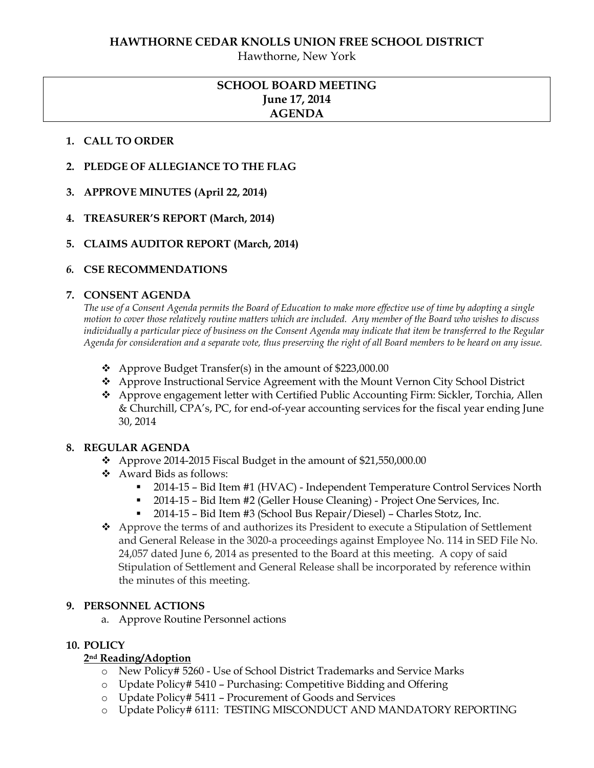#### **HAWTHORNE CEDAR KNOLLS UNION FREE SCHOOL DISTRICT**

Hawthorne, New York

## **SCHOOL BOARD MEETING June 17, 2014 AGENDA**

#### **1. CALL TO ORDER**

- **2. PLEDGE OF ALLEGIANCE TO THE FLAG**
- **3. APPROVE MINUTES (April 22, 2014)**
- **4. TREASURER'S REPORT (March, 2014)**
- **5. CLAIMS AUDITOR REPORT (March, 2014)**

### *6.* **CSE RECOMMENDATIONS**

#### **7. CONSENT AGENDA**

*The use of a Consent Agenda permits the Board of Education to make more effective use of time by adopting a single motion to cover those relatively routine matters which are included. Any member of the Board who wishes to discuss individually a particular piece of business on the Consent Agenda may indicate that item be transferred to the Regular Agenda for consideration and a separate vote, thus preserving the right of all Board members to be heard on any issue.* 

- $\triangleleft$  Approve Budget Transfer(s) in the amount of \$223,000.00
- Approve Instructional Service Agreement with the Mount Vernon City School District
- Approve engagement letter with Certified Public Accounting Firm: Sickler, Torchia, Allen & Churchill, CPA's, PC, for end-of-year accounting services for the fiscal year ending June 30, 2014

#### **8. REGULAR AGENDA**

- $\div$  Approve 2014-2015 Fiscal Budget in the amount of \$21,550,000.00
- Award Bids as follows:
	- 2014-15 Bid Item #1 (HVAC) Independent Temperature Control Services North
	- 2014-15 Bid Item #2 (Geller House Cleaning) Project One Services, Inc.
	- 2014-15 Bid Item #3 (School Bus Repair/Diesel) Charles Stotz, Inc.
- Approve the terms of and authorizes its President to execute a Stipulation of Settlement and General Release in the 3020-a proceedings against Employee No. 114 in SED File No. 24,057 dated June 6, 2014 as presented to the Board at this meeting. A copy of said Stipulation of Settlement and General Release shall be incorporated by reference within the minutes of this meeting.

#### **9. PERSONNEL ACTIONS**

a. Approve Routine Personnel actions

#### **10. POLICY**

#### **2nd Reading/Adoption**

- o New Policy# 5260 Use of School District Trademarks and Service Marks
- o Update Policy# 5410 Purchasing: Competitive Bidding and Offering
- o Update Policy# 5411 Procurement of Goods and Services
- o Update Policy# 6111: TESTING MISCONDUCT AND MANDATORY REPORTING